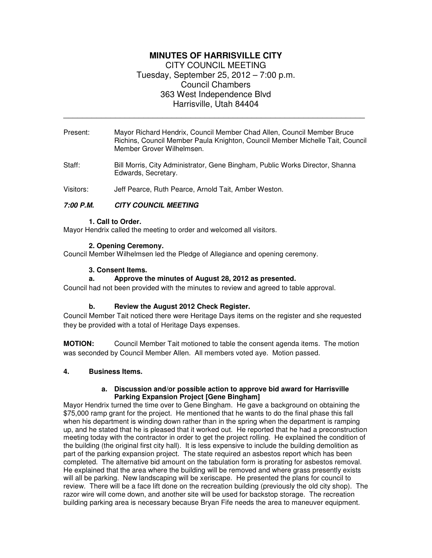# **MINUTES OF HARRISVILLE CITY**  CITY COUNCIL MEETING Tuesday, September 25, 2012 – 7:00 p.m. Council Chambers 363 West Independence Blvd Harrisville, Utah 84404

Present: Mayor Richard Hendrix, Council Member Chad Allen, Council Member Bruce Richins, Council Member Paula Knighton, Council Member Michelle Tait, Council Member Grover Wilhelmsen.

\_\_\_\_\_\_\_\_\_\_\_\_\_\_\_\_\_\_\_\_\_\_\_\_\_\_\_\_\_\_\_\_\_\_\_\_\_\_\_\_\_\_\_\_\_\_\_\_\_\_\_\_\_\_\_\_\_\_\_\_\_\_\_\_

Staff: Bill Morris, City Administrator, Gene Bingham, Public Works Director, Shanna Edwards, Secretary.

Visitors: Jeff Pearce, Ruth Pearce, Arnold Tait, Amber Weston.

# **7:00 P.M. CITY COUNCIL MEETING**

#### **1. Call to Order.**

Mayor Hendrix called the meeting to order and welcomed all visitors.

#### **2. Opening Ceremony.**

Council Member Wilhelmsen led the Pledge of Allegiance and opening ceremony.

#### **3. Consent Items.**

### **a. Approve the minutes of August 28, 2012 as presented.**

Council had not been provided with the minutes to review and agreed to table approval.

### **b. Review the August 2012 Check Register.**

Council Member Tait noticed there were Heritage Days items on the register and she requested they be provided with a total of Heritage Days expenses.

**MOTION:** Council Member Tait motioned to table the consent agenda items. The motion was seconded by Council Member Allen. All members voted aye. Motion passed.

### **4. Business Items.**

#### **a. Discussion and/or possible action to approve bid award for Harrisville Parking Expansion Project [Gene Bingham]**

Mayor Hendrix turned the time over to Gene Bingham. He gave a background on obtaining the \$75,000 ramp grant for the project. He mentioned that he wants to do the final phase this fall when his department is winding down rather than in the spring when the department is ramping up, and he stated that he is pleased that it worked out. He reported that he had a preconstruction meeting today with the contractor in order to get the project rolling. He explained the condition of the building (the original first city hall). It is less expensive to include the building demolition as part of the parking expansion project. The state required an asbestos report which has been completed. The alternative bid amount on the tabulation form is prorating for asbestos removal. He explained that the area where the building will be removed and where grass presently exists will all be parking. New landscaping will be xeriscape. He presented the plans for council to review. There will be a face lift done on the recreation building (previously the old city shop). The razor wire will come down, and another site will be used for backstop storage. The recreation building parking area is necessary because Bryan Fife needs the area to maneuver equipment.